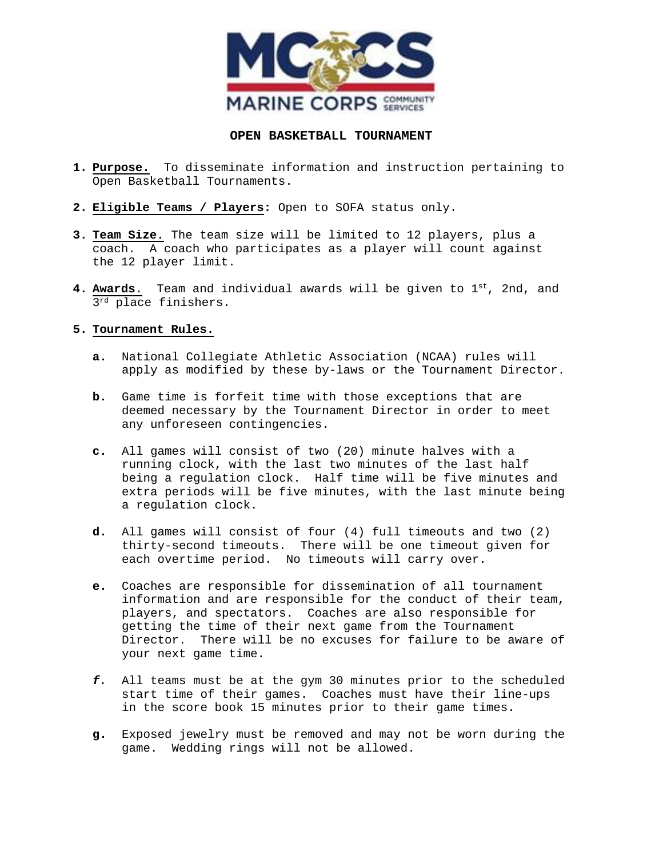

## **OPEN BASKETBALL TOURNAMENT**

- **1. Purpose.** To disseminate information and instruction pertaining to Open Basketball Tournaments.
- **2. Eligible Teams / Players:** Open to SOFA status only.
- **3. Team Size.** The team size will be limited to 12 players, plus a coach. A coach who participates as a player will count against the 12 player limit.
- **4. Awards**. Team and individual awards will be given to 1st, 2nd, and 3<sup>rd</sup> place finishers.

## **5. Tournament Rules.**

- **a.** National Collegiate Athletic Association (NCAA) rules will apply as modified by these by-laws or the Tournament Director.
- **b.** Game time is forfeit time with those exceptions that are deemed necessary by the Tournament Director in order to meet any unforeseen contingencies.
- **c.** All games will consist of two (20) minute halves with a running clock, with the last two minutes of the last half being a regulation clock. Half time will be five minutes and extra periods will be five minutes, with the last minute being a regulation clock.
- **d.** All games will consist of four (4) full timeouts and two (2) thirty-second timeouts. There will be one timeout given for each overtime period. No timeouts will carry over.
- **e.** Coaches are responsible for dissemination of all tournament information and are responsible for the conduct of their team, players, and spectators. Coaches are also responsible for getting the time of their next game from the Tournament Director. There will be no excuses for failure to be aware of your next game time.
- *f.* All teams must be at the gym 30 minutes prior to the scheduled start time of their games. Coaches must have their line-ups in the score book 15 minutes prior to their game times.
- **g.** Exposed jewelry must be removed and may not be worn during the game. Wedding rings will not be allowed.